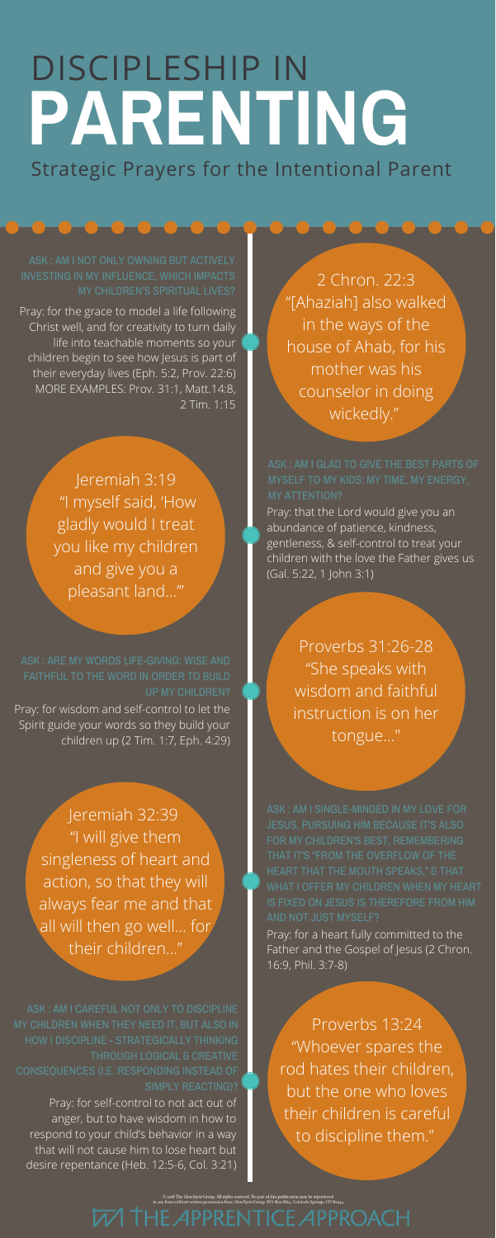## **PARENTING** Strategic Prayers for the Intentional Parent DISCIPLESHIP IN

2 Chron. 22:3 "[Ahaziah] also walked in the ways of the house of Ahab, for his mother was his counselor in doing wickedly."

Pray: for the grace to model a life following Christ well, and for creativity to turn daily life into teachable moments so your children begin to see how Jesus is part of their everyday lives (Eph. 5:2, Prov. 22:6) MORE EXAMPLES: Prov. 31:1, Matt.14:8, 2 Tim. 1:15

> Pray: that the Lord would give you an abundance of patience, kindness, gentleness, & self-control to treat your children with the love the Father gives us (Gal. 5:22, 1 John 3:1)

Jeremiah 3:19 "I myself said, 'How gladly would I treat you like my children and give you a pleasant land...'"

> Proverbs 31:26-28 "She speaks with wisdom and faithful instruction is on her tongue..."

Jeremiah 32:39 "I will give them singleness of heart and action, so that they will always fear me and that all will then go well... for their children..."

> Proverbs 13:24 "Whoever spares the rod hates their children, but the one who loves their children is careful to discipline them."

© 2018 The Glen Eyrie Group. All rights reserved. No part of this publication may be reproduced<br>· form without written permission from Glen Eyrie Group. P.O. Box 6819, Colorado Springs, CO 80934

**W THE APPRENTICE APPROACH** 

# ASK : AM I GLAD TO GIVE THE BEST PARTS OF

Pray: for wisdom and self-control to let the Spirit guide your words so they build your children up (2 Tim. 1:7, Eph. 4:29)

UP MY CHILDREN?

Pray: for self-control to not act out of anger, but to have wisdom in how to respond to your child's behavior in a way that will not cause him to lose heart but desire repentance (Heb. 12:5-6, Col. 3:21)

CONSEQUENCES (I.E. RESPONDING INSTEAD OF

Pray: for a heart fully committed to the Father and the Gospel of Jesus (2 Chron. 16:9, Phil. 3:7-8)

JESUS, PURSUING HIM BECAUSE IT'S ALSO WHAT I OFFER MY CHILDREN WHEN MY HEART